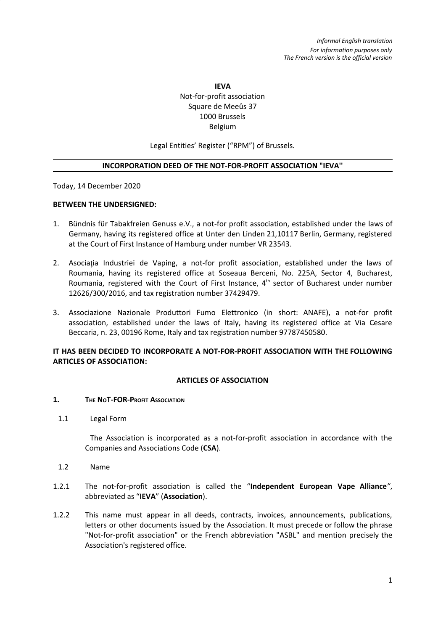# **IEVA** Not-for-profit association Square de Meeûs 37 1000 Brussels Belgium

Legal Entities' Register ("RPM") of Brussels.

### **INCORPORATION DEED OF THE NOT-FOR-PROFIT ASSOCIATION "IEVA''**

Today, 14 December 2020

### **BETWEEN THE UNDERSIGNED:**

- 1. Bündnis für Tabakfreien Genuss e.V., a not-for profit association, established under the laws of Germany, having its registered office at Unter den Linden 21,10117 Berlin, Germany, registered at the Court of First Instance of Hamburg under number VR 23543.
- 2. Asociația Industriei de Vaping, a not-for profit association, established under the laws of Roumania, having its registered office at Soseaua Berceni, No. 225A, Sector 4, Bucharest, Roumania, registered with the Court of First Instance, 4<sup>th</sup> sector of Bucharest under number 12626/300/2016, and tax registration number 37429479.
- 3. Associazione Nazionale Produttori Fumo Elettronico (in short: ANAFE), a not-for profit association, established under the laws of Italy, having its registered office at Via Cesare Beccaria, n. 23, 00196 Rome, Italy and tax registration number 97787450580.

# **IT HAS BEEN DECIDED TO INCORPORATE A NOT-FOR-PROFIT ASSOCIATION WITH THE FOLLOWING ARTICLES OF ASSOCIATION:**

## **ARTICLES OF ASSOCIATION**

#### **1. THE NOT-FOR-PROFIT ASSOCIATION**

1.1 Legal Form

The Association is incorporated as a not-for-profit association in accordance with the Companies and Associations Code (**CSA**).

- 1.2 Name
- 1.2.1 The not-for-profit association is called the "**Independent European Vape Alliance***"*, abbreviated as "**IEVA**" (**Association**).
- 1.2.2 This name must appear in all deeds, contracts, invoices, announcements, publications, letters or other documents issued by the Association. It must precede or follow the phrase "Not-for-profit association" or the French abbreviation "ASBL" and mention precisely the Association's registered office.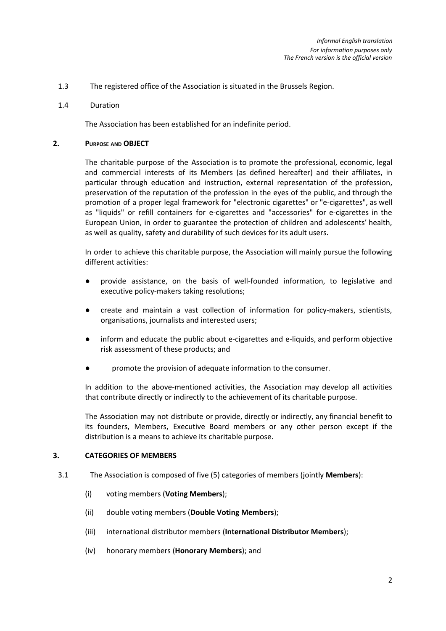- 1.3 The registered office of the Association is situated in the Brussels Region.
- 1.4 Duration

The Association has been established for an indefinite period.

# **2. PURPOSE AND OBJECT**

The charitable purpose of the Association is to promote the professional, economic, legal and commercial interests of its Members (as defined hereafter) and their affiliates, in particular through education and instruction, external representation of the profession, preservation of the reputation of the profession in the eyes of the public, and through the promotion of a proper legal framework for "electronic cigarettes" or "e-cigarettes", as well as "liquids" or refill containers for e-cigarettes and "accessories" for e-cigarettes in the European Union, in order to guarantee the protection of children and adolescents' health, as well as quality, safety and durability of such devices for its adult users.

In order to achieve this charitable purpose, the Association will mainly pursue the following different activities:

- provide assistance, on the basis of well-founded information, to legislative and executive policy-makers taking resolutions;
- create and maintain a vast collection of information for policy-makers, scientists, organisations, journalists and interested users;
- inform and educate the public about e-cigarettes and e-liquids, and perform objective risk assessment of these products; and
- promote the provision of adequate information to the consumer.

In addition to the above-mentioned activities, the Association may develop all activities that contribute directly or indirectly to the achievement of its charitable purpose.

The Association may not distribute or provide, directly or indirectly, any financial benefit to its founders, Members, Executive Board members or any other person except if the distribution is a means to achieve its charitable purpose.

## **3. CATEGORIES OF MEMBERS**

- 3.1 The Association is composed of five (5) categories of members (jointly **Members**):
	- (i) voting members (**Voting Members**);
	- (ii) double voting members (**Double Voting Members**);
	- (iii) international distributor members (**International Distributor Members**);
	- (iv) honorary members (**Honorary Members**); and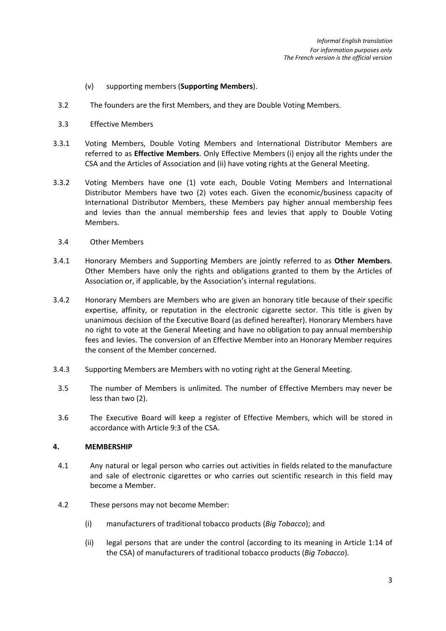- (v) supporting members (**Supporting Members**).
- 3.2 The founders are the first Members, and they are Double Voting Members.
- 3.3 Effective Members
- 3.3.1 Voting Members, Double Voting Members and International Distributor Members are referred to as **Effective Members**. Only Effective Members (i) enjoy all the rights under the CSA and the Articles of Association and (ii) have voting rights at the General Meeting.
- 3.3.2 Voting Members have one (1) vote each, Double Voting Members and International Distributor Members have two (2) votes each. Given the economic/business capacity of International Distributor Members, these Members pay higher annual membership fees and levies than the annual membership fees and levies that apply to Double Voting Members.
	- 3.4 Other Members
- 3.4.1 Honorary Members and Supporting Members are jointly referred to as **Other Members**. Other Members have only the rights and obligations granted to them by the Articles of Association or, if applicable, by the Association's internal regulations.
- 3.4.2 Honorary Members are Members who are given an honorary title because of their specific expertise, affinity, or reputation in the electronic cigarette sector. This title is given by unanimous decision of the Executive Board (as defined hereafter). Honorary Members have no right to vote at the General Meeting and have no obligation to pay annual membership fees and levies. The conversion of an Effective Member into an Honorary Member requires the consent of the Member concerned.
- 3.4.3 Supporting Members are Members with no voting right at the General Meeting.
- 3.5 The number of Members is unlimited. The number of Effective Members may never be less than two (2).
- 3.6 The Executive Board will keep a register of Effective Members, which will be stored in accordance with Article 9:3 of the CSA.

## **4. MEMBERSHIP**

- 4.1 Any natural or legal person who carries out activities in fields related to the manufacture and sale of electronic cigarettes or who carries out scientific research in this field may become a Member.
- 4.2 These persons may not become Member:
	- (i) manufacturers of traditional tobacco products (*Big Tobacco*); and
	- (ii) legal persons that are under the control (according to its meaning in Article 1:14 of the CSA) of manufacturers of traditional tobacco products (*Big Tobacco*).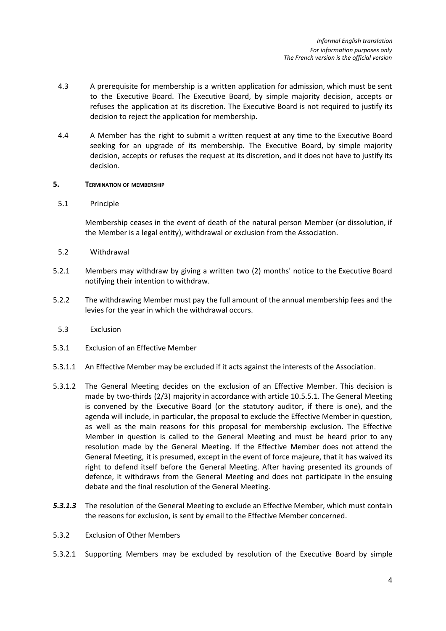- 4.3 A prerequisite for membership is a written application for admission, which must be sent to the Executive Board. The Executive Board, by simple majority decision, accepts or refuses the application at its discretion. The Executive Board is not required to justify its decision to reject the application for membership.
- 4.4 A Member has the right to submit a written request at any time to the Executive Board seeking for an upgrade of its membership. The Executive Board, by simple majority decision, accepts or refuses the request at its discretion, and it does not have to justify its decision.

### **5. TERMINATION OF MEMBERSHIP**

### 5.1 Principle

Membership ceases in the event of death of the natural person Member (or dissolution, if the Member is a legal entity), withdrawal or exclusion from the Association.

- 5.2 Withdrawal
- 5.2.1 Members may withdraw by giving a written two (2) months' notice to the Executive Board notifying their intention to withdraw.
- 5.2.2 The withdrawing Member must pay the full amount of the annual membership fees and the levies for the year in which the withdrawal occurs.
	- 5.3 Exclusion
- 5.3.1 Exclusion of an Effective Member
- 5.3.1.1 An Effective Member may be excluded if it acts against the interests of the Association.
- 5.3.1.2 The General Meeting decides on the exclusion of an Effective Member. This decision is made by two-thirds (2/3) majority in accordance with article 10.5.5.1. The General Meeting is convened by the Executive Board (or the statutory auditor, if there is one), and the agenda will include, in particular, the proposal to exclude the Effective Member in question, as well as the main reasons for this proposal for membership exclusion. The Effective Member in question is called to the General Meeting and must be heard prior to any resolution made by the General Meeting. If the Effective Member does not attend the General Meeting, it is presumed, except in the event of force majeure, that it has waived its right to defend itself before the General Meeting. After having presented its grounds of defence, it withdraws from the General Meeting and does not participate in the ensuing debate and the final resolution of the General Meeting.
- *5.3.1.3* The resolution of the General Meeting to exclude an Effective Member, which must contain the reasons for exclusion, is sent by email to the Effective Member concerned.
- 5.3.2 Exclusion of Other Members
- 5.3.2.1 Supporting Members may be excluded by resolution of the Executive Board by simple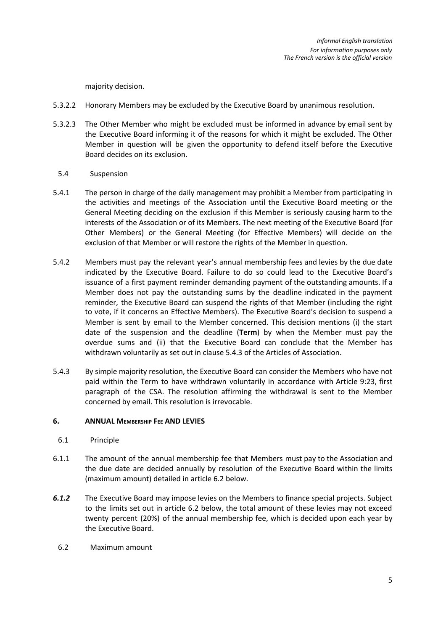majority decision.

- 5.3.2.2 Honorary Members may be excluded by the Executive Board by unanimous resolution.
- 5.3.2.3 The Other Member who might be excluded must be informed in advance by email sent by the Executive Board informing it of the reasons for which it might be excluded. The Other Member in question will be given the opportunity to defend itself before the Executive Board decides on its exclusion.
	- 5.4 Suspension
- 5.4.1 The person in charge of the daily management may prohibit a Member from participating in the activities and meetings of the Association until the Executive Board meeting or the General Meeting deciding on the exclusion if this Member is seriously causing harm to the interests of the Association or of its Members. The next meeting of the Executive Board (for Other Members) or the General Meeting (for Effective Members) will decide on the exclusion of that Member or will restore the rights of the Member in question.
- 5.4.2 Members must pay the relevant year's annual membership fees and levies by the due date indicated by the Executive Board. Failure to do so could lead to the Executive Board's issuance of a first payment reminder demanding payment of the outstanding amounts. If a Member does not pay the outstanding sums by the deadline indicated in the payment reminder, the Executive Board can suspend the rights of that Member (including the right to vote, if it concerns an Effective Members). The Executive Board's decision to suspend a Member is sent by email to the Member concerned. This decision mentions (i) the start date of the suspension and the deadline (**Term**) by when the Member must pay the overdue sums and (ii) that the Executive Board can conclude that the Member has withdrawn voluntarily as set out in clause 5.4.3 of the Articles of Association.
- 5.4.3 By simple majority resolution, the Executive Board can consider the Members who have not paid within the Term to have withdrawn voluntarily in accordance with Article 9:23, first paragraph of the CSA. The resolution affirming the withdrawal is sent to the Member concerned by email. This resolution is irrevocable.

## **6. ANNUAL MEMBERSHIP FEE AND LEVIES**

- 6.1 Principle
- 6.1.1 The amount of the annual membership fee that Members must pay to the Association and the due date are decided annually by resolution of the Executive Board within the limits (maximum amount) detailed in article 6.2 below.
- *6.1.2* The Executive Board may impose levies on the Members to finance special projects. Subject to the limits set out in article 6.2 below, the total amount of these levies may not exceed twenty percent (20%) of the annual membership fee, which is decided upon each year by the Executive Board.
	- 6.2 Maximum amount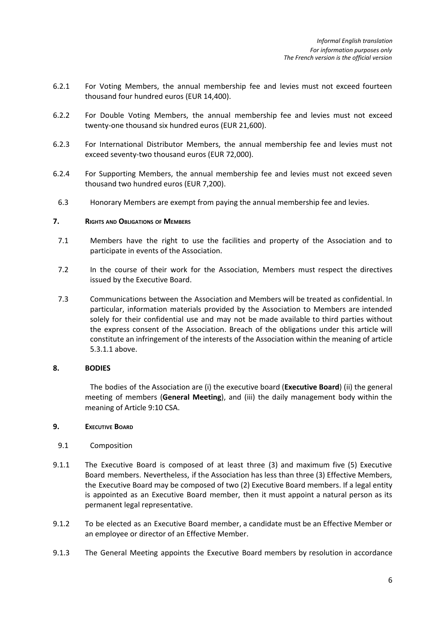- 6.2.1 For Voting Members, the annual membership fee and levies must not exceed fourteen thousand four hundred euros (EUR 14,400).
- 6.2.2 For Double Voting Members, the annual membership fee and levies must not exceed twenty-one thousand six hundred euros (EUR 21,600).
- 6.2.3 For International Distributor Members, the annual membership fee and levies must not exceed seventy-two thousand euros (EUR 72,000).
- 6.2.4 For Supporting Members, the annual membership fee and levies must not exceed seven thousand two hundred euros (EUR 7,200).
- 6.3 Honorary Members are exempt from paying the annual membership fee and levies.

#### **7. RIGHTS AND OBLIGATIONS OF MEMBERS**

- 7.1 Members have the right to use the facilities and property of the Association and to participate in events of the Association.
- 7.2 In the course of their work for the Association, Members must respect the directives issued by the Executive Board.
- 7.3 Communications between the Association and Members will be treated as confidential. In particular, information materials provided by the Association to Members are intended solely for their confidential use and may not be made available to third parties without the express consent of the Association. Breach of the obligations under this article will constitute an infringement of the interests of the Association within the meaning of article 5.3.1.1 above.

#### **8. BODIES**

The bodies of the Association are (i) the executive board (**Executive Board**) (ii) the general meeting of members (**General Meeting**), and (iii) the daily management body within the meaning of Article 9:10 CSA.

#### **9. EXECUTIVE BOARD**

- 9.1 Composition
- 9.1.1 The Executive Board is composed of at least three (3) and maximum five (5) Executive Board members. Nevertheless, if the Association has less than three (3) Effective Members, the Executive Board may be composed of two (2) Executive Board members. If a legal entity is appointed as an Executive Board member, then it must appoint a natural person as its permanent legal representative.
- 9.1.2 To be elected as an Executive Board member, a candidate must be an Effective Member or an employee or director of an Effective Member.
- 9.1.3 The General Meeting appoints the Executive Board members by resolution in accordance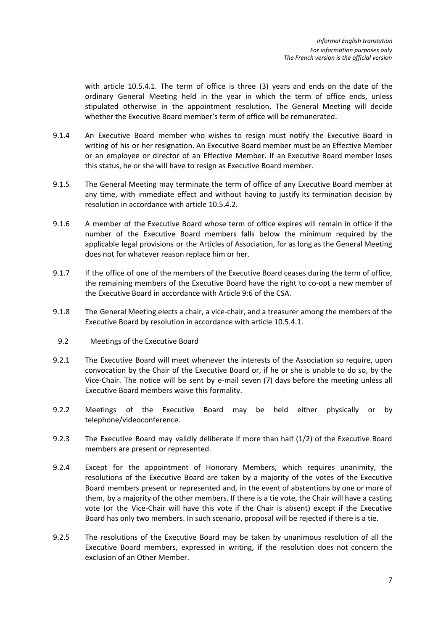with article 10.5.4.1. The term of office is three (3) years and ends on the date of the ordinary General Meeting held in the year in which the term of office ends, unless stipulated otherwise in the appointment resolution. The General Meeting will decide whether the Executive Board member's term of office will be remunerated.

- 9.1.4 An Executive Board member who wishes to resign must notify the Executive Board in writing of his or her resignation. An Executive Board member must be an Effective Member or an employee or director of an Effective Member. If an Executive Board member loses this status, he or she will have to resign as Executive Board member.
- 9.1.5 The General Meeting may terminate the term of office of any Executive Board member at any time, with immediate effect and without having to justify its termination decision by resolution in accordance with article 10.5.4.2.
- 9.1.6 A member of the Executive Board whose term of office expires will remain in office if the number of the Executive Board members falls below the minimum required by the applicable legal provisions or the Articles of Association, for as long as the General Meeting does not for whatever reason replace him or her.
- 9.1.7 If the office of one of the members of the Executive Board ceases during the term of office, the remaining members of the Executive Board have the right to co-opt a new member of the Executive Board in accordance with Article 9:6 of the CSA.
- 9.1.8 The General Meeting elects a chair, a vice-chair, and a treasurer among the members of the Executive Board by resolution in accordance with article 10.5.4.1.
- 9.2 Meetings of the Executive Board
- 9.2.1 The Executive Board will meet whenever the interests of the Association so require, upon convocation by the Chair of the Executive Board or, if he or she is unable to do so, by the Vice-Chair. The notice will be sent by e-mail seven (7) days before the meeting unless all Executive Board members waive this formality.
- 9.2.2 Meetings of the Executive Board may be held either physically or by telephone/videoconference.
- 9.2.3 The Executive Board may validly deliberate if more than half (1/2) of the Executive Board members are present or represented.
- 9.2.4 Except for the appointment of Honorary Members, which requires unanimity, the resolutions of the Executive Board are taken by a majority of the votes of the Executive Board members present or represented and, in the event of abstentions by one or more of them, by a majority of the other members. If there is a tie vote, the Chair will have a casting vote (or the Vice-Chair will have this vote if the Chair is absent) except if the Executive Board has only two members. In such scenario, proposal will be rejected if there is a tie.
- 9.2.5 The resolutions of the Executive Board may be taken by unanimous resolution of all the Executive Board members, expressed in writing, if the resolution does not concern the exclusion of an Other Member.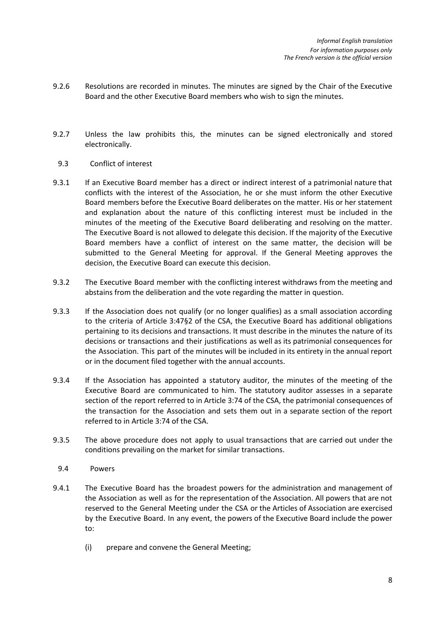- 9.2.6 Resolutions are recorded in minutes. The minutes are signed by the Chair of the Executive Board and the other Executive Board members who wish to sign the minutes.
- 9.2.7 Unless the law prohibits this, the minutes can be signed electronically and stored electronically.
	- 9.3 Conflict of interest
- 9.3.1 If an Executive Board member has a direct or indirect interest of a patrimonial nature that conflicts with the interest of the Association, he or she must inform the other Executive Board members before the Executive Board deliberates on the matter. His or her statement and explanation about the nature of this conflicting interest must be included in the minutes of the meeting of the Executive Board deliberating and resolving on the matter. The Executive Board is not allowed to delegate this decision. If the majority of the Executive Board members have a conflict of interest on the same matter, the decision will be submitted to the General Meeting for approval. If the General Meeting approves the decision, the Executive Board can execute this decision.
- 9.3.2 The Executive Board member with the conflicting interest withdraws from the meeting and abstains from the deliberation and the vote regarding the matter in question.
- 9.3.3 If the Association does not qualify (or no longer qualifies) as a small association according to the criteria of Article 3:47§2 of the CSA, the Executive Board has additional obligations pertaining to its decisions and transactions. It must describe in the minutes the nature of its decisions or transactions and their justifications as well as its patrimonial consequences for the Association. This part of the minutes will be included in its entirety in the annual report or in the document filed together with the annual accounts.
- 9.3.4 If the Association has appointed a statutory auditor, the minutes of the meeting of the Executive Board are communicated to him. The statutory auditor assesses in a separate section of the report referred to in Article 3:74 of the CSA, the patrimonial consequences of the transaction for the Association and sets them out in a separate section of the report referred to in Article 3:74 of the CSA.
- 9.3.5 The above procedure does not apply to usual transactions that are carried out under the conditions prevailing on the market for similar transactions.
- 9.4 Powers
- 9.4.1 The Executive Board has the broadest powers for the administration and management of the Association as well as for the representation of the Association. All powers that are not reserved to the General Meeting under the CSA or the Articles of Association are exercised by the Executive Board. In any event, the powers of the Executive Board include the power to:
	- (i) prepare and convene the General Meeting;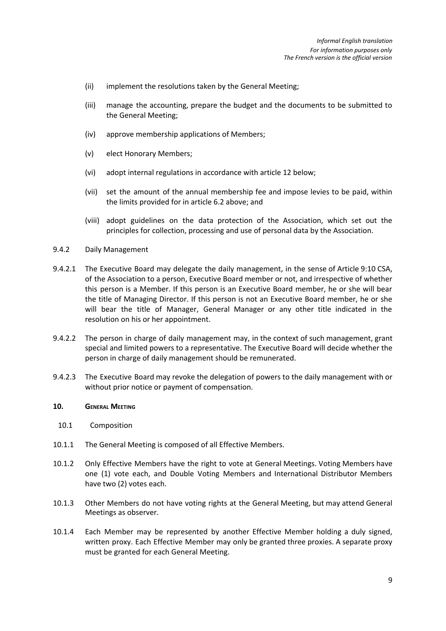- (ii) implement the resolutions taken by the General Meeting;
- (iii) manage the accounting, prepare the budget and the documents to be submitted to the General Meeting;
- (iv) approve membership applications of Members;
- (v) elect Honorary Members;
- (vi) adopt internal regulations in accordance with article 12 below;
- (vii) set the amount of the annual membership fee and impose levies to be paid, within the limits provided for in article 6.2 above; and
- (viii) adopt guidelines on the data protection of the Association, which set out the principles for collection, processing and use of personal data by the Association.
- 9.4.2 Daily Management
- 9.4.2.1 The Executive Board may delegate the daily management, in the sense of Article 9:10 CSA, of the Association to a person, Executive Board member or not, and irrespective of whether this person is a Member. If this person is an Executive Board member, he or she will bear the title of Managing Director. If this person is not an Executive Board member, he or she will bear the title of Manager, General Manager or any other title indicated in the resolution on his or her appointment.
- 9.4.2.2 The person in charge of daily management may, in the context of such management, grant special and limited powers to a representative. The Executive Board will decide whether the person in charge of daily management should be remunerated.
- 9.4.2.3 The Executive Board may revoke the delegation of powers to the daily management with or without prior notice or payment of compensation.

#### **10. GENERAL MEETING**

- 10.1 Composition
- 10.1.1 The General Meeting is composed of all Effective Members.
- 10.1.2 Only Effective Members have the right to vote at General Meetings. Voting Members have one (1) vote each, and Double Voting Members and International Distributor Members have two (2) votes each.
- 10.1.3 Other Members do not have voting rights at the General Meeting, but may attend General Meetings as observer.
- 10.1.4 Each Member may be represented by another Effective Member holding a duly signed, written proxy. Each Effective Member may only be granted three proxies. A separate proxy must be granted for each General Meeting.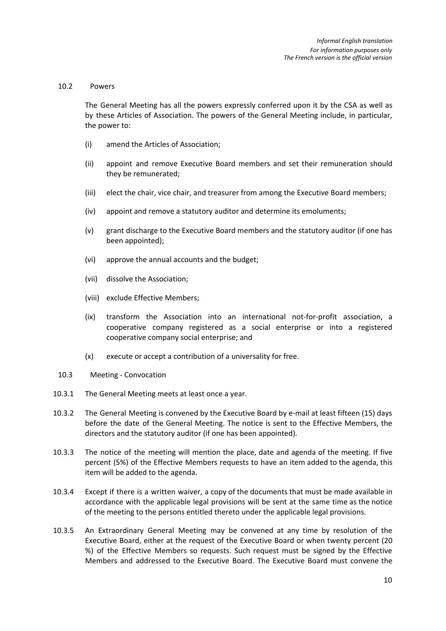#### 10.2 Powers

The General Meeting has all the powers expressly conferred upon it by the CSA as well as by these Articles of Association. The powers of the General Meeting include, in particular, the power to:

- (i) amend the Articles of Association;
- (ii) appoint and remove Executive Board members and set their remuneration should they be remunerated;
- (iii) elect the chair, vice chair, and treasurer from among the Executive Board members;
- (iv) appoint and remove a statutory auditor and determine its emoluments;
- (v) grant discharge to the Executive Board members and the statutory auditor (if one has been appointed);
- (vi) approve the annual accounts and the budget;
- (vii) dissolve the Association;
- (viii) exclude Effective Members;
- (ix) transform the Association into an international not-for-profit association, a cooperative company registered as a social enterprise or into a registered cooperative company social enterprise; and
- (x) execute or accept a contribution of a universality for free.
- 10.3 Meeting Convocation
- 10.3.1 The General Meeting meets at least once a year.
- 10.3.2 The General Meeting is convened by the Executive Board by e-mail at least fifteen (15) days before the date of the General Meeting. The notice is sent to the Effective Members, the directors and the statutory auditor (if one has been appointed).
- 10.3.3 The notice of the meeting will mention the place, date and agenda of the meeting. If five percent (5%) of the Effective Members requests to have an item added to the agenda, this item will be added to the agenda.
- 10.3.4 Except if there is a written waiver, a copy of the documents that must be made available in accordance with the applicable legal provisions will be sent at the same time as the notice of the meeting to the persons entitled thereto under the applicable legal provisions.
- 10.3.5 An Extraordinary General Meeting may be convened at any time by resolution of the Executive Board, either at the request of the Executive Board or when twenty percent (20 %) of the Effective Members so requests. Such request must be signed by the Effective Members and addressed to the Executive Board. The Executive Board must convene the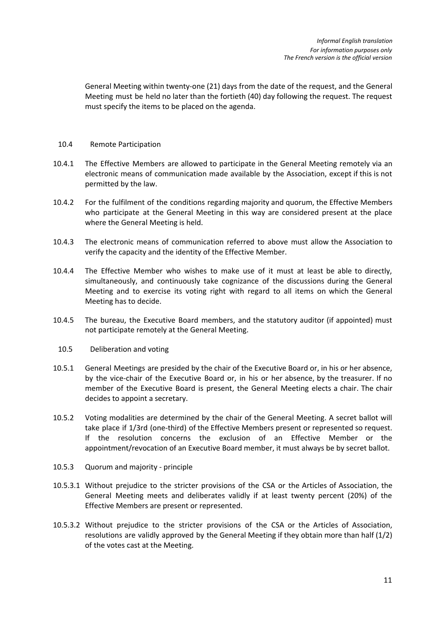General Meeting within twenty-one (21) days from the date of the request, and the General Meeting must be held no later than the fortieth (40) day following the request. The request must specify the items to be placed on the agenda.

### 10.4 Remote Participation

- 10.4.1 The Effective Members are allowed to participate in the General Meeting remotely via an electronic means of communication made available by the Association, except if this is not permitted by the law.
- 10.4.2 For the fulfilment of the conditions regarding majority and quorum, the Effective Members who participate at the General Meeting in this way are considered present at the place where the General Meeting is held.
- 10.4.3 The electronic means of communication referred to above must allow the Association to verify the capacity and the identity of the Effective Member.
- 10.4.4 The Effective Member who wishes to make use of it must at least be able to directly, simultaneously, and continuously take cognizance of the discussions during the General Meeting and to exercise its voting right with regard to all items on which the General Meeting has to decide.
- 10.4.5 The bureau, the Executive Board members, and the statutory auditor (if appointed) must not participate remotely at the General Meeting.
- 10.5 Deliberation and voting
- 10.5.1 General Meetings are presided by the chair of the Executive Board or, in his or her absence, by the vice-chair of the Executive Board or, in his or her absence, by the treasurer. If no member of the Executive Board is present, the General Meeting elects a chair. The chair decides to appoint a secretary.
- 10.5.2 Voting modalities are determined by the chair of the General Meeting. A secret ballot will take place if 1/3rd (one-third) of the Effective Members present or represented so request. If the resolution concerns the exclusion of an Effective Member or the appointment/revocation of an Executive Board member, it must always be by secret ballot.
- 10.5.3 Quorum and majority principle
- 10.5.3.1 Without prejudice to the stricter provisions of the CSA or the Articles of Association, the General Meeting meets and deliberates validly if at least twenty percent (20%) of the Effective Members are present or represented.
- 10.5.3.2 Without prejudice to the stricter provisions of the CSA or the Articles of Association, resolutions are validly approved by the General Meeting if they obtain more than half (1/2) of the votes cast at the Meeting.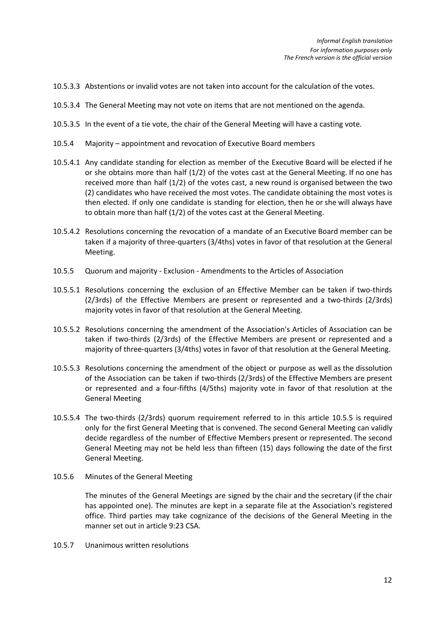- 10.5.3.3 Abstentions or invalid votes are not taken into account for the calculation of the votes.
- 10.5.3.4 The General Meeting may not vote on items that are not mentioned on the agenda.
- 10.5.3.5 In the event of a tie vote, the chair of the General Meeting will have a casting vote.
- 10.5.4 Majority appointment and revocation of Executive Board members
- 10.5.4.1 Any candidate standing for election as member of the Executive Board will be elected if he or she obtains more than half (1/2) of the votes cast at the General Meeting. If no one has received more than half (1/2) of the votes cast, a new round is organised between the two (2) candidates who have received the most votes. The candidate obtaining the most votes is then elected. If only one candidate is standing for election, then he or she will always have to obtain more than half (1/2) of the votes cast at the General Meeting.
- 10.5.4.2 Resolutions concerning the revocation of a mandate of an Executive Board member can be taken if a majority of three-quarters (3/4ths) votes in favor of that resolution at the General Meeting.
- 10.5.5 Quorum and majority Exclusion Amendments to the Articles of Association
- 10.5.5.1 Resolutions concerning the exclusion of an Effective Member can be taken if two-thirds (2/3rds) of the Effective Members are present or represented and a two-thirds (2/3rds) majority votes in favor of that resolution at the General Meeting.
- 10.5.5.2 Resolutions concerning the amendment of the Association's Articles of Association can be taken if two-thirds (2/3rds) of the Effective Members are present or represented and a majority of three-quarters (3/4ths) votes in favor of that resolution at the General Meeting.
- 10.5.5.3 Resolutions concerning the amendment of the object or purpose as well as the dissolution of the Association can be taken if two-thirds (2/3rds) of the Effective Members are present or represented and a four-fifths (4/5ths) majority vote in favor of that resolution at the General Meeting
- 10.5.5.4 The two-thirds (2/3rds) quorum requirement referred to in this article 10.5.5 is required only for the first General Meeting that is convened. The second General Meeting can validly decide regardless of the number of Effective Members present or represented. The second General Meeting may not be held less than fifteen (15) days following the date of the first General Meeting.
- 10.5.6 Minutes of the General Meeting

The minutes of the General Meetings are signed by the chair and the secretary (if the chair has appointed one). The minutes are kept in a separate file at the Association's registered office. Third parties may take cognizance of the decisions of the General Meeting in the manner set out in article 9:23 CSA.

10.5.7 Unanimous written resolutions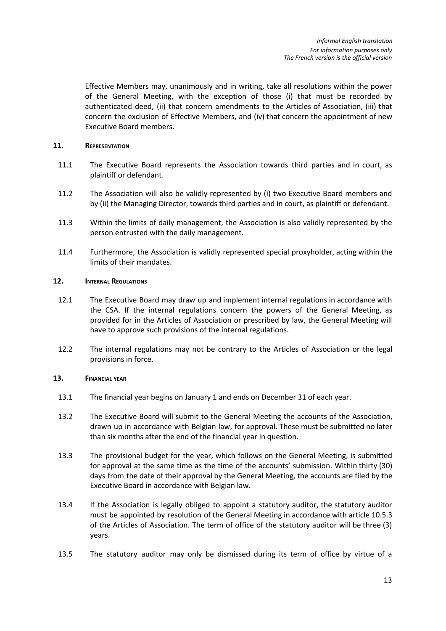Effective Members may, unanimously and in writing, take all resolutions within the power of the General Meeting, with the exception of those (i) that must be recorded by authenticated deed, (ii) that concern amendments to the Articles of Association, (iii) that concern the exclusion of Effective Members, and (iv) that concern the appointment of new Executive Board members.

## **11. REPRESENTATION**

- 11.1 The Executive Board represents the Association towards third parties and in court, as plaintiff or defendant.
- 11.2 The Association will also be validly represented by (i) two Executive Board members and by (ii) the Managing Director, towards third parties and in court, as plaintiff or defendant.
- 11.3 Within the limits of daily management, the Association is also validly represented by the person entrusted with the daily management.
- 11.4 Furthermore, the Association is validly represented special proxyholder, acting within the limits of their mandates.

# **12. INTERNAL REGULATIONS**

- 12.1 The Executive Board may draw up and implement internal regulations in accordance with the CSA. If the internal regulations concern the powers of the General Meeting, as provided for in the Articles of Association or prescribed by law, the General Meeting will have to approve such provisions of the internal regulations.
- 12.2 The internal regulations may not be contrary to the Articles of Association or the legal provisions in force.

## **13. FINANCIAL YEAR**

- 13.1 The financial year begins on January 1 and ends on December 31 of each year.
- 13.2 The Executive Board will submit to the General Meeting the accounts of the Association, drawn up in accordance with Belgian law, for approval. These must be submitted no later than six months after the end of the financial year in question.
- 13.3 The provisional budget for the year, which follows on the General Meeting, is submitted for approval at the same time as the time of the accounts' submission. Within thirty (30) days from the date of their approval by the General Meeting, the accounts are filed by the Executive Board in accordance with Belgian law.
- 13.4 If the Association is legally obliged to appoint a statutory auditor, the statutory auditor must be appointed by resolution of the General Meeting in accordance with article 10.5.3 of the Articles of Association. The term of office of the statutory auditor will be three (3) years.
- 13.5 The statutory auditor may only be dismissed during its term of office by virtue of a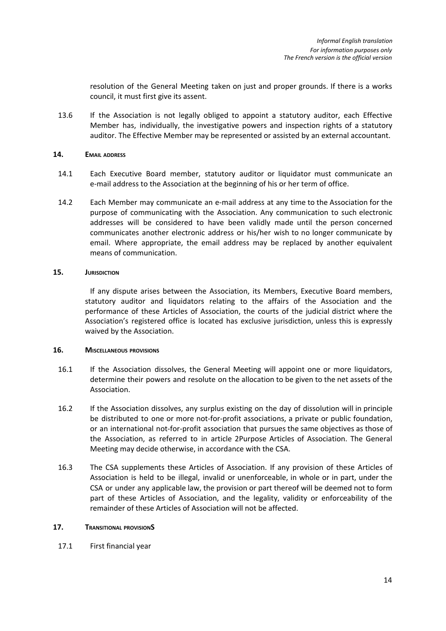resolution of the General Meeting taken on just and proper grounds. If there is a works council, it must first give its assent.

13.6 If the Association is not legally obliged to appoint a statutory auditor, each Effective Member has, individually, the investigative powers and inspection rights of a statutory auditor. The Effective Member may be represented or assisted by an external accountant.

### **14. EMAIL ADDRESS**

- 14.1 Each Executive Board member, statutory auditor or liquidator must communicate an e-mail address to the Association at the beginning of his or her term of office.
- 14.2 Each Member may communicate an e-mail address at any time to the Association for the purpose of communicating with the Association. Any communication to such electronic addresses will be considered to have been validly made until the person concerned communicates another electronic address or his/her wish to no longer communicate by email. Where appropriate, the email address may be replaced by another equivalent means of communication.

## **15. JURISDICTION**

If any dispute arises between the Association, its Members, Executive Board members, statutory auditor and liquidators relating to the affairs of the Association and the performance of these Articles of Association, the courts of the judicial district where the Association's registered office is located has exclusive jurisdiction, unless this is expressly waived by the Association.

## **16. MISCELLANEOUS PROVISIONS**

- 16.1 If the Association dissolves, the General Meeting will appoint one or more liquidators, determine their powers and resolute on the allocation to be given to the net assets of the Association.
- 16.2 If the Association dissolves, any surplus existing on the day of dissolution will in principle be distributed to one or more not-for-profit associations, a private or public foundation, or an international not-for-profit association that pursues the same objectives as those of the Association, as referred to in article 2Purpose Articles of Association. The General Meeting may decide otherwise, in accordance with the CSA.
- 16.3 The CSA supplements these Articles of Association. If any provision of these Articles of Association is held to be illegal, invalid or unenforceable, in whole or in part, under the CSA or under any applicable law, the provision or part thereof will be deemed not to form part of these Articles of Association, and the legality, validity or enforceability of the remainder of these Articles of Association will not be affected.

## **17. TRANSITIONAL PROVISIONS**

17.1 First financial year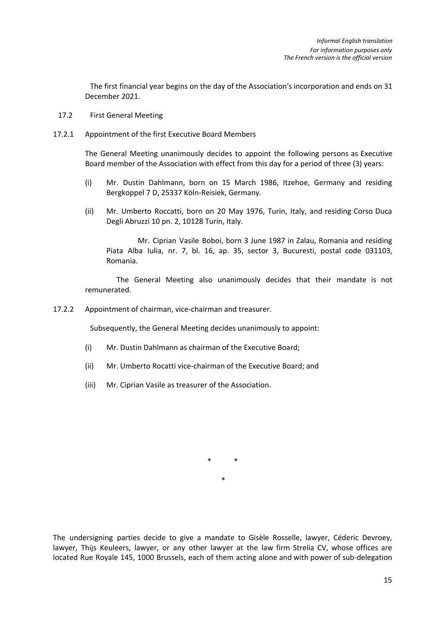The first financial year begins on the day of the Association's incorporation and ends on 31 December 2021.

- 17.2 First General Meeting
- 17.2.1 Appointment of the first Executive Board Members

The General Meeting unanimously decides to appoint the following persons as Executive Board member of the Association with effect from this day for a period of three (3) years:

- (i) Mr. Dustin Dahlmann, born on 15 March 1986, Itzehoe, Germany and residing Bergkoppel 7 D, 25337 Köln-Reisiek, Germany.
- (ii) Mr. Umberto Roccatti, born on 20 May 1976, Turin, Italy, and residing Corso Duca Degli Abruzzi 10 pn. 2, 10128 Turin, Italy.

Mr. Ciprian Vasile Boboi, born 3 June 1987 in Zalau, Romania and residing Piata Alba Iulia, nr. 7, bl. 16, ap. 35, sector 3, Bucuresti, postal code 031103, Romania.

The General Meeting also unanimously decides that their mandate is not remunerated.

17.2.2 Appointment of chairman, vice-chairman and treasurer.

Subsequently, the General Meeting decides unanimously to appoint:

- (i) Mr. Dustin Dahlmann as chairman of the Executive Board;
- (ii) Mr. Umberto Rocatti vice-chairman of the Executive Board; and
- (iii) Mr. Ciprian Vasile as treasurer of the Association.

\* \*

\*

The undersigning parties decide to give a mandate to Gisèle Rosselle, lawyer, Céderic Devroey, lawyer, Thijs Keuleers, lawyer, or any other lawyer at the law firm Strelia CV, whose offices are located Rue Royale 145, 1000 Brussels, each of them acting alone and with power of sub-delegation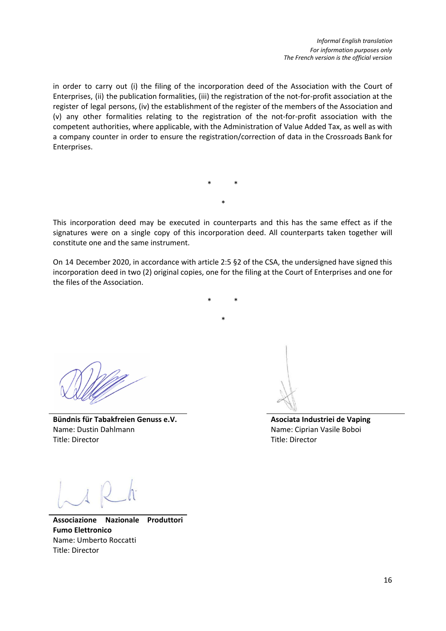in order to carry out (i) the filing of the incorporation deed of the Association with the Court of Enterprises, (ii) the publication formalities, (iii) the registration of the not-for-profit association at the register of legal persons, (iv) the establishment of the register of the members of the Association and (v) any other formalities relating to the registration of the not-for-profit association with the competent authorities, where applicable, with the Administration of Value Added Tax, as well as with a company counter in order to ensure the registration/correction of data in the Crossroads Bank for Enterprises.

> \* \* \*

This incorporation deed may be executed in counterparts and this has the same effect as if the signatures were on a single copy of this incorporation deed. All counterparts taken together will constitute one and the same instrument.

On 14 December 2020, in accordance with article 2:5 §2 of the CSA, the undersigned have signed this incorporation deed in two (2) original copies, one for the filing at the Court of Enterprises and one for the files of the Association.

\* \*

\*

**Bündnis für Tabakfreien Genuss e.V.** Name: Dustin Dahlmann Title: Director

**Asociata Industriei de Vaping** Name: Ciprian Vasile Boboi Title: Director

**Associazione Nazionale Produttori Fumo Elettronico** Name: Umberto Roccatti Title: Director